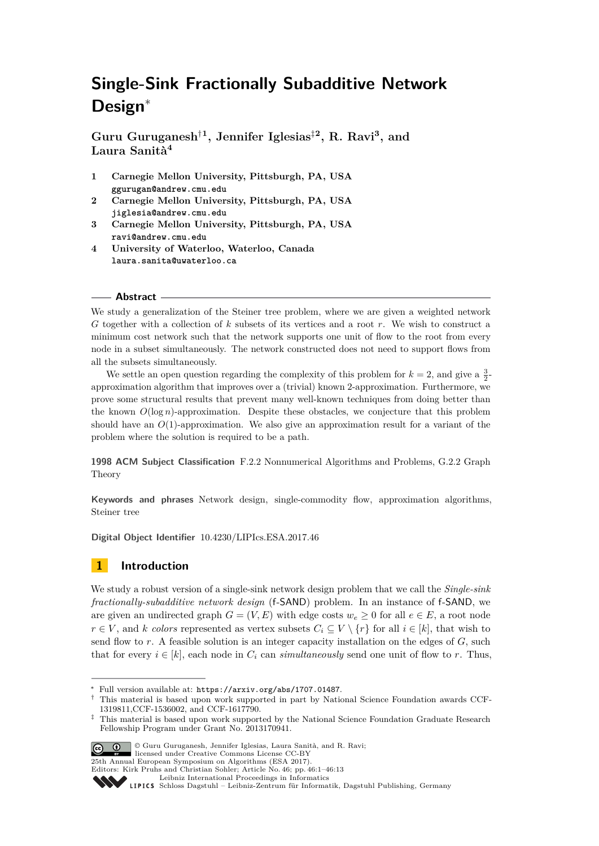# **Single-Sink Fractionally Subadditive Network Design**<sup>∗</sup>

**Guru Guruganesh**†**<sup>1</sup> , Jennifer Iglesias**‡**<sup>2</sup> , R. Ravi<sup>3</sup> , and Laura Sanità<sup>4</sup>**

- **1 Carnegie Mellon University, Pittsburgh, PA, USA ggurugan@andrew.cmu.edu**
- **2 Carnegie Mellon University, Pittsburgh, PA, USA jiglesia@andrew.cmu.edu**
- **3 Carnegie Mellon University, Pittsburgh, PA, USA ravi@andrew.cmu.edu**
- **4 University of Waterloo, Waterloo, Canada laura.sanita@uwaterloo.ca**

#### **Abstract**

We study a generalization of the Steiner tree problem, where we are given a weighted network *G* together with a collection of *k* subsets of its vertices and a root *r*. We wish to construct a minimum cost network such that the network supports one unit of flow to the root from every node in a subset simultaneously. The network constructed does not need to support flows from all the subsets simultaneously.

We settle an open question regarding the complexity of this problem for  $k = 2$ , and give a  $\frac{3}{2}$ approximation algorithm that improves over a (trivial) known 2-approximation. Furthermore, we prove some structural results that prevent many well-known techniques from doing better than the known  $O(\log n)$ -approximation. Despite these obstacles, we conjecture that this problem should have an *O*(1)-approximation. We also give an approximation result for a variant of the problem where the solution is required to be a path.

**1998 ACM Subject Classification** F.2.2 Nonnumerical Algorithms and Problems, G.2.2 Graph Theory

**Keywords and phrases** Network design, single-commodity flow, approximation algorithms, Steiner tree

**Digital Object Identifier** [10.4230/LIPIcs.ESA.2017.46](http://dx.doi.org/10.4230/LIPIcs.ESA.2017.46)

## **1 Introduction**

We study a robust version of a single-sink network design problem that we call the *Single-sink fractionally-subadditive network design* (f-SAND) problem. In an instance of f-SAND, we are given an undirected graph  $G = (V, E)$  with edge costs  $w_e \ge 0$  for all  $e \in E$ , a root node *r* ∈ *V*, and *k colors* represented as vertex subsets  $C_i$  ⊆ *V* \  $\{r\}$  for all *i* ∈ [*k*], that wish to send flow to *r*. A feasible solution is an integer capacity installation on the edges of *G*, such that for every  $i \in [k]$ , each node in  $C_i$  can *simultaneously* send one unit of flow to *r*. Thus,

<sup>&</sup>lt;sup>‡</sup> This material is based upon work supported by the National Science Foundation Graduate Research Fellowship Program under Grant No. 2013170941.



© Guru Guruganesh, Jennifer Iglesias, Laura Sanità, and R. Ravi; licensed under Creative Commons License CC-BY

<sup>∗</sup> Full version available at: <https://arxiv.org/abs/1707.01487>.

<sup>†</sup> This material is based upon work supported in part by National Science Foundation awards CCF-1319811,CCF-1536002, and CCF-1617790.

<sup>25</sup>th Annual European Symposium on Algorithms (ESA 2017). Editors: Kirk Pruhs and Christian Sohler; Article No. 46; pp. 46:1–46[:13](#page-12-0)

[Leibniz International Proceedings in Informatics](http://www.dagstuhl.de/lipics/)

Leibniz international Floretungs in missimosische Publishing, Germany<br>LIPICS [Schloss Dagstuhl – Leibniz-Zentrum für Informatik, Dagstuhl Publishing, Germany](http://www.dagstuhl.de)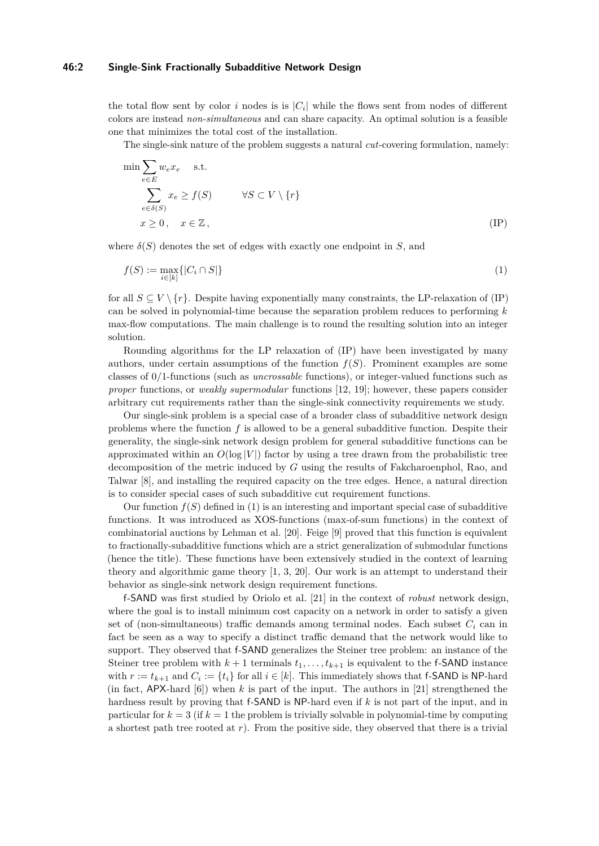#### **46:2 Single-Sink Fractionally Subadditive Network Design**

the total flow sent by color *i* nodes is is  $|C_i|$  while the flows sent from nodes of different colors are instead *non-simultaneous* and can share capacity. An optimal solution is a feasible one that minimizes the total cost of the installation.

<span id="page-1-0"></span>The single-sink nature of the problem suggests a natural *cut*-covering formulation, namely:

$$
\min \sum_{e \in E} w_e x_e \quad \text{s.t.}
$$
\n
$$
\sum_{e \in \delta(S)} x_e \ge f(S) \qquad \forall S \subset V \setminus \{r\}
$$
\n
$$
x \ge 0, \quad x \in \mathbb{Z}, \tag{IP}
$$

where  $\delta(S)$  denotes the set of edges with exactly one endpoint in *S*, and

$$
f(S) := \max_{i \in [k]} \{|C_i \cap S|\} \tag{1}
$$

for all  $S \subseteq V \setminus \{r\}$ . Despite having exponentially many constraints, the LP-relaxation of (IP) can be solved in polynomial-time because the separation problem reduces to performing *k* max-flow computations. The main challenge is to round the resulting solution into an integer solution.

Rounding algorithms for the LP relaxation of (IP) have been investigated by many authors, under certain assumptions of the function  $f(S)$ . Prominent examples are some classes of 0/1-functions (such as *uncrossable* functions), or integer-valued functions such as *proper* functions, or *weakly supermodular* functions [\[12,](#page-12-1) [19\]](#page-12-2); however, these papers consider arbitrary cut requirements rather than the single-sink connectivity requirements we study.

Our single-sink problem is a special case of a broader class of subadditive network design problems where the function *f* is allowed to be a general subadditive function. Despite their generality, the single-sink network design problem for general subadditive functions can be approximated within an  $O(\log |V|)$  factor by using a tree drawn from the probabilistic tree decomposition of the metric induced by *G* using the results of Fakcharoenphol, Rao, and Talwar [\[8\]](#page-12-3), and installing the required capacity on the tree edges. Hence, a natural direction is to consider special cases of such subadditive cut requirement functions.

Our function  $f(S)$  defined in [\(1\)](#page-1-0) is an interesting and important special case of subadditive functions. It was introduced as XOS-functions (max-of-sum functions) in the context of combinatorial auctions by Lehman et al. [\[20\]](#page-12-4). Feige [\[9\]](#page-12-5) proved that this function is equivalent to fractionally-subadditive functions which are a strict generalization of submodular functions (hence the title). These functions have been extensively studied in the context of learning theory and algorithmic game theory [\[1,](#page-12-6) [3,](#page-12-7) [20\]](#page-12-4). Our work is an attempt to understand their behavior as single-sink network design requirement functions.

f-SAND was first studied by Oriolo et al. [\[21\]](#page-12-8) in the context of *robust* network design, where the goal is to install minimum cost capacity on a network in order to satisfy a given set of (non-simultaneous) traffic demands among terminal nodes. Each subset  $C_i$  can in fact be seen as a way to specify a distinct traffic demand that the network would like to support. They observed that f-SAND generalizes the Steiner tree problem: an instance of the Steiner tree problem with  $k+1$  terminals  $t_1, \ldots, t_{k+1}$  is equivalent to the f-SAND instance with  $r := t_{k+1}$  and  $C_i := \{t_i\}$  for all  $i \in [k]$ . This immediately shows that f-SAND is NP-hard (in fact,  $APX$ -hard [\[6\]](#page-12-9)) when k is part of the input. The authors in [\[21\]](#page-12-8) strengthened the hardness result by proving that f-SAND is NP-hard even if *k* is not part of the input, and in particular for  $k = 3$  (if  $k = 1$  the problem is trivially solvable in polynomial-time by computing a shortest path tree rooted at  $r$ ). From the positive side, they observed that there is a trivial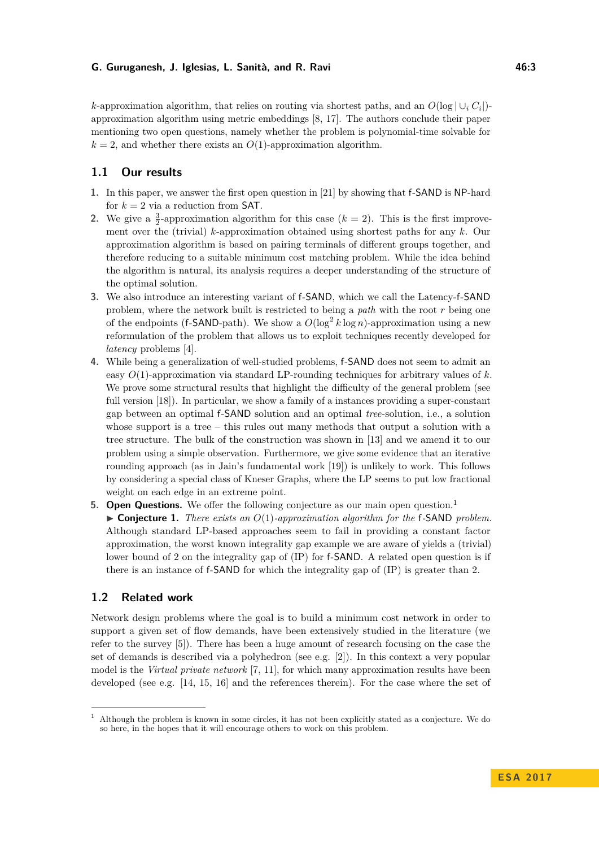### **G. Guruganesh, J. Iglesias, L. Sanità, and R. Ravi 46:3**

*k*-approximation algorithm, that relies on routing via shortest paths, and an  $O(\log |\cup_i C_i|)$ approximation algorithm using metric embeddings [\[8,](#page-12-3) [17\]](#page-12-10). The authors conclude their paper mentioning two open questions, namely whether the problem is polynomial-time solvable for  $k = 2$ , and whether there exists an  $O(1)$ -approximation algorithm.

## **1.1 Our results**

- **1.** In this paper, we answer the first open question in [\[21\]](#page-12-8) by showing that f-SAND is NP-hard for  $k = 2$  via a reduction from **SAT**.
- **2.** We give a  $\frac{3}{2}$ -approximation algorithm for this case  $(k = 2)$ . This is the first improvement over the (trivial) *k*-approximation obtained using shortest paths for any *k*. Our approximation algorithm is based on pairing terminals of different groups together, and therefore reducing to a suitable minimum cost matching problem. While the idea behind the algorithm is natural, its analysis requires a deeper understanding of the structure of the optimal solution.
- **3.** We also introduce an interesting variant of f-SAND, which we call the Latency-f-SAND problem, where the network built is restricted to being a *path* with the root *r* being one of the endpoints (f-SAND-path). We show a  $O(\log^2 k \log n)$ -approximation using a new reformulation of the problem that allows us to exploit techniques recently developed for *latency* problems [\[4\]](#page-12-11).
- **4.** While being a generalization of well-studied problems, f-SAND does not seem to admit an easy *O*(1)-approximation via standard LP-rounding techniques for arbitrary values of *k*. We prove some structural results that highlight the difficulty of the general problem (see full version [\[18\]](#page-12-12)). In particular, we show a family of a instances providing a super-constant gap between an optimal f-SAND solution and an optimal *tree*-solution, i.e., a solution whose support is a tree – this rules out many methods that output a solution with a tree structure. The bulk of the construction was shown in [\[13\]](#page-12-13) and we amend it to our problem using a simple observation. Furthermore, we give some evidence that an iterative rounding approach (as in Jain's fundamental work [\[19\]](#page-12-2)) is unlikely to work. This follows by considering a special class of Kneser Graphs, where the LP seems to put low fractional weight on each edge in an extreme point.
- **5. Open Questions.** We offer the following conjecture as our main open question.<sup>[1](#page-2-0)</sup> ▶ **Conjecture 1.** *There exists an O*(1)*-approximation algorithm for the* f-SAND *problem.* Although standard LP-based approaches seem to fail in providing a constant factor approximation, the worst known integrality gap example we are aware of yields a (trivial) lower bound of 2 on the integrality gap of (IP) for f-SAND. A related open question is if there is an instance of f-SAND for which the integrality gap of (IP) is greater than 2.

# **1.2 Related work**

Network design problems where the goal is to build a minimum cost network in order to support a given set of flow demands, have been extensively studied in the literature (we refer to the survey [\[5\]](#page-12-14)). There has been a huge amount of research focusing on the case the set of demands is described via a polyhedron (see e.g. [\[2\]](#page-12-15)). In this context a very popular model is the *Virtual private network* [\[7,](#page-12-16) [11\]](#page-12-17), for which many approximation results have been developed (see e.g. [\[14,](#page-12-18) [15,](#page-12-19) [16\]](#page-12-20) and the references therein). For the case where the set of

<span id="page-2-0"></span><sup>1</sup> Although the problem is known in some circles, it has not been explicitly stated as a conjecture. We do so here, in the hopes that it will encourage others to work on this problem.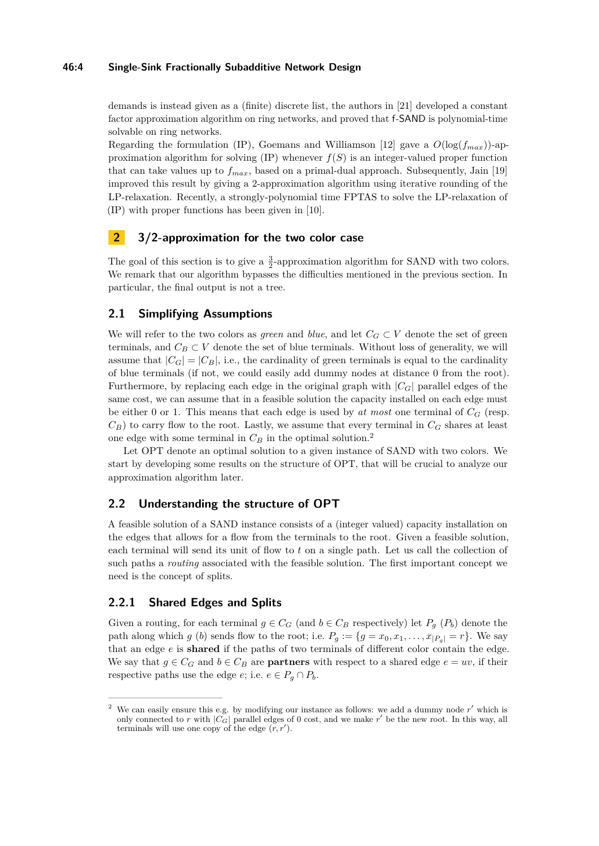#### **46:4 Single-Sink Fractionally Subadditive Network Design**

demands is instead given as a (finite) discrete list, the authors in [\[21\]](#page-12-8) developed a constant factor approximation algorithm on ring networks, and proved that f-SAND is polynomial-time solvable on ring networks.

Regarding the formulation (IP), Goemans and Williamson [\[12\]](#page-12-1) gave a  $O(\log(f_{max}))$ -approximation algorithm for solving  $(\text{IP})$  whenever  $f(S)$  is an integer-valued proper function that can take values up to  $f_{max}$ , based on a primal-dual approach. Subsequently, Jain [\[19\]](#page-12-2) improved this result by giving a 2-approximation algorithm using iterative rounding of the LP-relaxation. Recently, a strongly-polynomial time FPTAS to solve the LP-relaxation of (IP) with proper functions has been given in [\[10\]](#page-12-21).

# **2 3/2-approximation for the two color case**

The goal of this section is to give a  $\frac{3}{2}$ -approximation algorithm for SAND with two colors. We remark that our algorithm bypasses the difficulties mentioned in the previous section. In particular, the final output is not a tree.

## **2.1 Simplifying Assumptions**

We will refer to the two colors as *green* and *blue*, and let  $C_G \subset V$  denote the set of green terminals, and  $C_B \subset V$  denote the set of blue terminals. Without loss of generality, we will assume that  $|C_G| = |C_B|$ , i.e., the cardinality of green terminals is equal to the cardinality of blue terminals (if not, we could easily add dummy nodes at distance 0 from the root). Furthermore, by replacing each edge in the original graph with  $|C_G|$  parallel edges of the same cost, we can assume that in a feasible solution the capacity installed on each edge must be either 0 or 1. This means that each edge is used by *at most* one terminal of  $C_G$  (resp.  $C_B$ ) to carry flow to the root. Lastly, we assume that every terminal in  $C_G$  shares at least one edge with some terminal in  $C_B$  in the optimal solution.<sup>[2](#page-3-0)</sup>

Let OPT denote an optimal solution to a given instance of SAND with two colors. We start by developing some results on the structure of OPT, that will be crucial to analyze our approximation algorithm later.

## **2.2 Understanding the structure of OPT**

A feasible solution of a SAND instance consists of a (integer valued) capacity installation on the edges that allows for a flow from the terminals to the root. Given a feasible solution, each terminal will send its unit of flow to *t* on a single path. Let us call the collection of such paths a *routing* associated with the feasible solution. The first important concept we need is the concept of splits.

## **2.2.1 Shared Edges and Splits**

Given a routing, for each terminal  $g \in C_G$  (and  $b \in C_B$  respectively) let  $P_g$  ( $P_b$ ) denote the path along which *g* (*b*) sends flow to the root; i.e.  $P_g := \{g = x_0, x_1, \ldots, x_{|P_g|} = r\}$ . We say that an edge *e* is **shared** if the paths of two terminals of different color contain the edge. We say that  $g \in C_G$  and  $b \in C_B$  are **partners** with respect to a shared edge  $e = uv$ , if their respective paths use the edge *e*; i.e.  $e \in P_q \cap P_b$ .

<span id="page-3-0"></span><sup>&</sup>lt;sup>2</sup> We can easily ensure this e.g. by modifying our instance as follows: we add a dummy node r' which is only connected to r with  $|C_G|$  parallel edges of 0 cost, and we make r' be the new root. In this way, all terminals will use one copy of the edge  $(r, r')$ .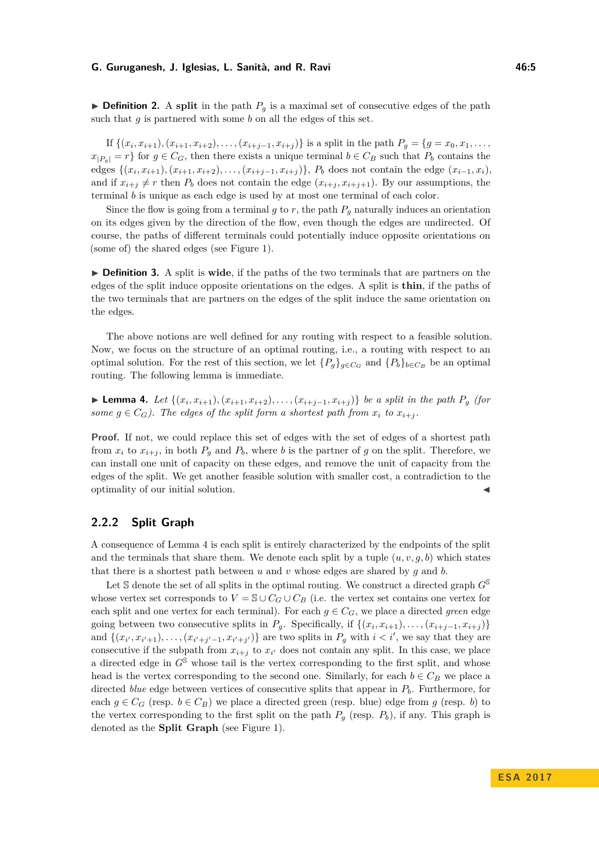#### **G. Guruganesh, J. Iglesias, L. Sanità, and R. Ravi 46:5**

 $\triangleright$  **Definition 2.** A split in the path  $P_q$  is a maximal set of consecutive edges of the path such that *g* is partnered with some *b* on all the edges of this set.

If  $\{(x_i, x_{i+1}), (x_{i+1}, x_{i+2}), \ldots, (x_{i+j-1}, x_{i+j})\}$  is a split in the path  $P_g = \{g = x_0, x_1, \ldots, x_{i+j}\}$  $x_{|P_q|} = r$  for  $g \in C_G$ , then there exists a unique terminal  $b \in C_B$  such that  $P_b$  contains the edges  $\{(x_i, x_{i+1}), (x_{i+1}, x_{i+2}), \ldots, (x_{i+j-1}, x_{i+j})\}$ ,  $P_b$  does not contain the edge  $(x_{i-1}, x_i)$ , and if  $x_{i+j} \neq r$  then  $P_b$  does not contain the edge  $(x_{i+j}, x_{i+j+1})$ . By our assumptions, the terminal *b* is unique as each edge is used by at most one terminal of each color.

Since the flow is going from a terminal  $g$  to  $r$ , the path  $P_q$  naturally induces an orientation on its edges given by the direction of the flow, even though the edges are undirected. Of course, the paths of different terminals could potentially induce opposite orientations on (some of) the shared edges (see Figure [1\)](#page-5-0).

▶ **Definition 3.** A split is **wide**, if the paths of the two terminals that are partners on the edges of the split induce opposite orientations on the edges. A split is **thin**, if the paths of the two terminals that are partners on the edges of the split induce the same orientation on the edges.

The above notions are well defined for any routing with respect to a feasible solution. Now, we focus on the structure of an optimal routing, i.e., a routing with respect to an optimal solution. For the rest of this section, we let  ${P_g}_{g \in C_G}$  and  ${P_b}_{b \in C_B}$  be an optimal routing. The following lemma is immediate.

<span id="page-4-0"></span>► Lemma 4. Let  $\{(x_i, x_{i+1}), (x_{i+1}, x_{i+2}), \ldots, (x_{i+j-1}, x_{i+j})\}$  be a split in the path  $P_g$  (for *some*  $q \in C_G$ *). The edges of the split form a shortest path from*  $x_i$  to  $x_{i+1}$ .

**Proof.** If not, we could replace this set of edges with the set of edges of a shortest path from  $x_i$  to  $x_{i+j}$ , in both  $P_g$  and  $P_b$ , where *b* is the partner of *g* on the split. Therefore, we can install one unit of capacity on these edges, and remove the unit of capacity from the edges of the split. We get another feasible solution with smaller cost, a contradiction to the optimality of our initial solution. J

## **2.2.2 Split Graph**

A consequence of Lemma [4](#page-4-0) is each split is entirely characterized by the endpoints of the split and the terminals that share them. We denote each split by a tuple  $(u, v, q, b)$  which states that there is a shortest path between *u* and *v* whose edges are shared by *g* and *b*.

Let S denote the set of all splits in the optimal routing. We construct a directed graph  $G^{\mathbb{S}}$ whose vertex set corresponds to  $V = \mathbb{S} \cup C_G \cup C_B$  (i.e. the vertex set contains one vertex for each split and one vertex for each terminal). For each  $g \in C_G$ , we place a directed *green* edge going between two consecutive splits in  $P_g$ . Specifically, if  $\{(x_i, x_{i+1}), \ldots, (x_{i+j-1}, x_{i+j})\}$ and  $\{(x_{i'}, x_{i'+1}), \ldots, (x_{i'+j'-1}, x_{i'+j'})\}$  are two splits in  $P_g$  with  $i < i'$ , we say that they are consecutive if the subpath from  $x_{i+j}$  to  $x_{i'}$  does not contain any split. In this case, we place a directed edge in  $G^{\mathbb{S}}$  whose tail is the vertex corresponding to the first split, and whose head is the vertex corresponding to the second one. Similarly, for each  $b \in C_B$  we place a directed *blue* edge between vertices of consecutive splits that appear in *Pb*. Furthermore, for each  $g \in C_G$  (resp.  $b \in C_B$ ) we place a directed green (resp. blue) edge from *g* (resp. *b*) to the vertex corresponding to the first split on the path  $P_g$  (resp.  $P_b$ ), if any. This graph is denoted as the **Split Graph** (see Figure [1\)](#page-5-0).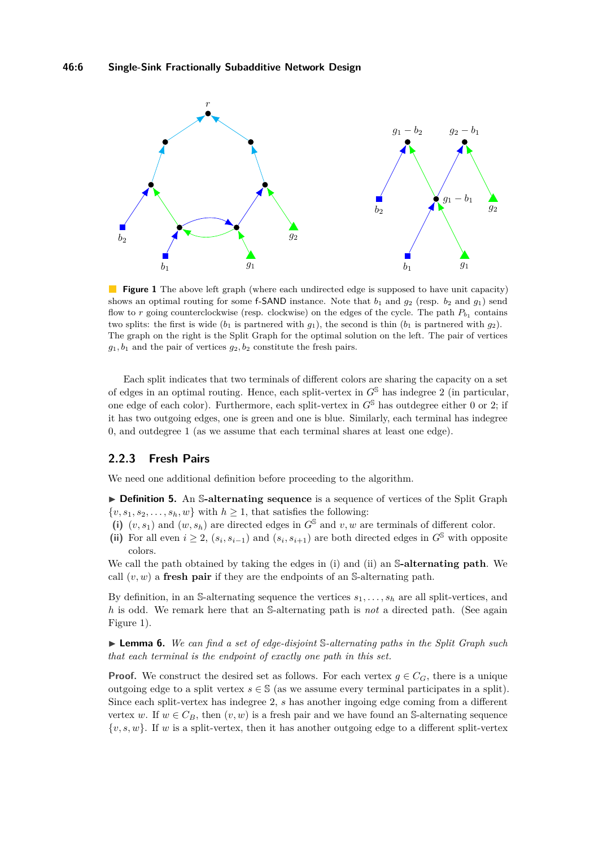<span id="page-5-0"></span>

**Figure 1** The above left graph (where each undirected edge is supposed to have unit capacity) shows an optimal routing for some f-SAND instance. Note that  $b_1$  and  $g_2$  (resp.  $b_2$  and  $g_1$ ) send flow to *r* going counterclockwise (resp. clockwise) on the edges of the cycle. The path  $P_{b_1}$  contains two splits: the first is wide  $(b_1$  is partnered with  $g_1$ ), the second is thin  $(b_1$  is partnered with  $g_2$ ). The graph on the right is the Split Graph for the optimal solution on the left. The pair of vertices  $g_1, b_1$  and the pair of vertices  $g_2, b_2$  constitute the fresh pairs.

Each split indicates that two terminals of different colors are sharing the capacity on a set of edges in an optimal routing. Hence, each split-vertex in  $G^{\mathbb{S}}$  has indegree 2 (in particular, one edge of each color). Furthermore, each split-vertex in  $G^{\mathbb{S}}$  has outdegree either 0 or 2; if it has two outgoing edges, one is green and one is blue. Similarly, each terminal has indegree 0, and outdegree 1 (as we assume that each terminal shares at least one edge).

## **2.2.3 Fresh Pairs**

We need one additional definition before proceeding to the algorithm.

**Definition 5.** An S-alternating sequence is a sequence of vertices of the Split Graph  $\{v, s_1, s_2, \ldots, s_h, w\}$  with  $h \geq 1$ , that satisfies the following:

- (i)  $(v, s_1)$  and  $(w, s_h)$  are directed edges in  $G^{\mathbb{S}}$  and  $v, w$  are terminals of different color.
- (ii) For all even  $i \geq 2$ ,  $(s_i, s_{i-1})$  and  $(s_i, s_{i+1})$  are both directed edges in  $G^{\mathcal{S}}$  with opposite colors.

We call the path obtained by taking the edges in (i) and (ii) an S**-alternating path**. We call  $(v, w)$  a **fresh pair** if they are the endpoints of an S-alternating path.

By definition, in an S-alternating sequence the vertices *s*1*, . . . , s<sup>h</sup>* are all split-vertices, and *h* is odd. We remark here that an S-alternating path is *not* a directed path. (See again Figure [1\)](#page-5-0).

<span id="page-5-1"></span>I **Lemma 6.** *We can find a set of edge-disjoint* S*-alternating paths in the Split Graph such that each terminal is the endpoint of exactly one path in this set.*

**Proof.** We construct the desired set as follows. For each vertex  $g \in C_G$ , there is a unique outgoing edge to a split vertex  $s \in \mathbb{S}$  (as we assume every terminal participates in a split). Since each split-vertex has indegree 2, *s* has another ingoing edge coming from a different vertex *w*. If  $w \in C_B$ , then  $(v, w)$  is a fresh pair and we have found an S-alternating sequence {*v, s, w*}. If *w* is a split-vertex, then it has another outgoing edge to a different split-vertex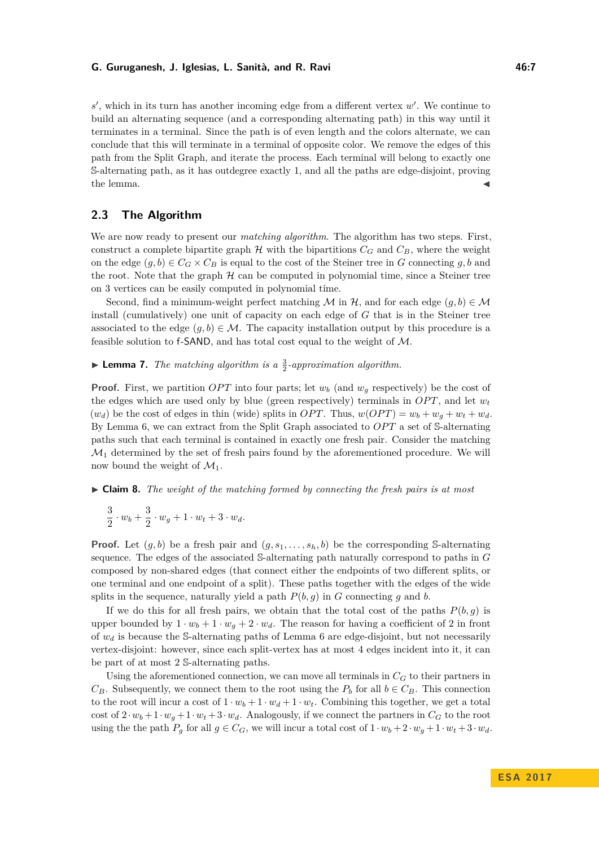#### **G. Guruganesh, J. Iglesias, L. Sanità, and R. Ravi 1998 18:18 18:18 18:18 18:18 18:18 18:18 18:18 18:18 18:18**

 $s'$ , which in its turn has another incoming edge from a different vertex  $w'$ . We continue to build an alternating sequence (and a corresponding alternating path) in this way until it terminates in a terminal. Since the path is of even length and the colors alternate, we can conclude that this will terminate in a terminal of opposite color. We remove the edges of this path from the Split Graph, and iterate the process. Each terminal will belong to exactly one S-alternating path, as it has outdegree exactly 1, and all the paths are edge-disjoint, proving the lemma.  $\blacktriangleleft$ 

# **2.3 The Algorithm**

We are now ready to present our *matching algorithm*. The algorithm has two steps. First, construct a complete bipartite graph  $H$  with the bipartitions  $C_G$  and  $C_B$ , where the weight on the edge  $(g, b) \in C_G \times C_B$  is equal to the cost of the Steiner tree in *G* connecting *g*, *b* and the root. Note that the graph  $H$  can be computed in polynomial time, since a Steiner tree on 3 vertices can be easily computed in polynomial time.

Second, find a minimum-weight perfect matching M in H, and for each edge  $(g, b) \in \mathcal{M}$ install (cumulatively) one unit of capacity on each edge of *G* that is in the Steiner tree associated to the edge  $(g, b) \in \mathcal{M}$ . The capacity installation output by this procedure is a feasible solution to f-SAND, and has total cost equal to the weight of M.

**Example 7.** *The matching algorithm is a*  $\frac{3}{2}$ -approximation algorithm.

**Proof.** First, we partition *OPT* into four parts; let  $w_b$  (and  $w_g$  respectively) be the cost of the edges which are used only by blue (green respectively) terminals in  $OPT$ , and let  $w_t$  $(w_d)$  be the cost of edges in thin (wide) splits in *OPT*. Thus,  $w(OPT) = w_b + w_d + w_t + w_d$ . By Lemma [6,](#page-5-1) we can extract from the Split Graph associated to  $OPT$  a set of S-alternating paths such that each terminal is contained in exactly one fresh pair. Consider the matching  $\mathcal{M}_1$  determined by the set of fresh pairs found by the aforementioned procedure. We will now bound the weight of  $\mathcal{M}_1$ .

## I **Claim 8.** *The weight of the matching formed by connecting the fresh pairs is at most*

$$
\frac{3}{2}\cdot w_b+\frac{3}{2}\cdot w_g+1\cdot w_t+3\cdot w_d.
$$

**Proof.** Let  $(q, b)$  be a fresh pair and  $(q, s_1, \ldots, s_h, b)$  be the corresponding S-alternating sequence. The edges of the associated S-alternating path naturally correspond to paths in *G* composed by non-shared edges (that connect either the endpoints of two different splits, or one terminal and one endpoint of a split). These paths together with the edges of the wide splits in the sequence, naturally yield a path  $P(b, g)$  in *G* connecting *g* and *b*.

If we do this for all fresh pairs, we obtain that the total cost of the paths  $P(b,g)$  is upper bounded by  $1 \cdot w_b + 1 \cdot w_q + 2 \cdot w_d$ . The reason for having a coefficient of 2 in front of *w<sup>d</sup>* is because the S-alternating paths of Lemma [6](#page-5-1) are edge-disjoint, but not necessarily vertex-disjoint: however, since each split-vertex has at most 4 edges incident into it, it can be part of at most 2 S-alternating paths.

Using the aforementioned connection, we can move all terminals in  $C_G$  to their partners in  $C_B$ . Subsequently, we connect them to the root using the  $P_b$  for all  $b \in C_B$ . This connection to the root will incur a cost of  $1 \cdot w_b + 1 \cdot w_d + 1 \cdot w_t$ . Combining this together, we get a total cost of  $2 \cdot w_b + 1 \cdot w_q + 1 \cdot w_t + 3 \cdot w_d$ . Analogously, if we connect the partners in  $C_G$  to the root using the the path  $P_g$  for all  $g \in C_G$ , we will incur a total cost of  $1 \cdot w_b + 2 \cdot w_g + 1 \cdot w_t + 3 \cdot w_d$ .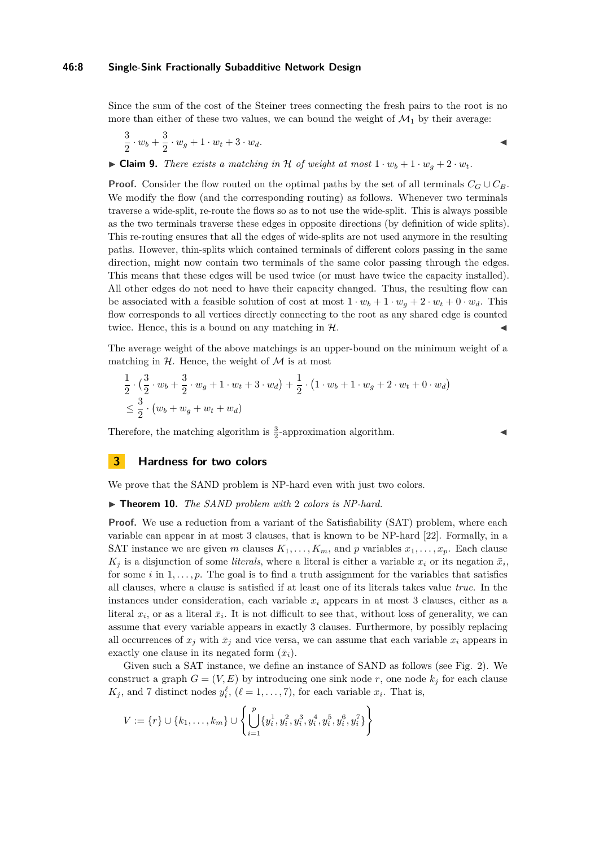#### **46:8 Single-Sink Fractionally Subadditive Network Design**

Since the sum of the cost of the Steiner trees connecting the fresh pairs to the root is no more than either of these two values, we can bound the weight of  $\mathcal{M}_1$  by their average:

$$
\frac{3}{2} \cdot w_b + \frac{3}{2} \cdot w_g + 1 \cdot w_t + 3 \cdot w_d.
$$

 $\blacktriangleright$  **Claim 9.** *There exists a matching in* H *of weight at most*  $1 \cdot w_b + 1 \cdot w_q + 2 \cdot w_t$ .

**Proof.** Consider the flow routed on the optimal paths by the set of all terminals  $C_G \cup C_B$ . We modify the flow (and the corresponding routing) as follows. Whenever two terminals traverse a wide-split, re-route the flows so as to not use the wide-split. This is always possible as the two terminals traverse these edges in opposite directions (by definition of wide splits). This re-routing ensures that all the edges of wide-splits are not used anymore in the resulting paths. However, thin-splits which contained terminals of different colors passing in the same direction, might now contain two terminals of the same color passing through the edges. This means that these edges will be used twice (or must have twice the capacity installed). All other edges do not need to have their capacity changed. Thus, the resulting flow can be associated with a feasible solution of cost at most  $1 \cdot w_b + 1 \cdot w_q + 2 \cdot w_t + 0 \cdot w_d$ . This flow corresponds to all vertices directly connecting to the root as any shared edge is counted twice. Hence, this is a bound on any matching in  $H$ .

The average weight of the above matchings is an upper-bound on the minimum weight of a matching in  $H$ . Hence, the weight of M is at most

$$
\frac{1}{2} \cdot \left( \frac{3}{2} \cdot w_b + \frac{3}{2} \cdot w_g + 1 \cdot w_t + 3 \cdot w_d \right) + \frac{1}{2} \cdot \left( 1 \cdot w_b + 1 \cdot w_g + 2 \cdot w_t + 0 \cdot w_d \right) \n\leq \frac{3}{2} \cdot \left( w_b + w_g + w_t + w_d \right)
$$

Therefore, the matching algorithm is  $\frac{3}{2}$ -approximation algorithm.

# **3 Hardness for two colors**

We prove that the SAND problem is NP-hard even with just two colors.

#### ▶ **Theorem 10.** *The SAND problem with* 2 *colors is NP-hard.*

**Proof.** We use a reduction from a variant of the Satisfiability (SAT) problem, where each variable can appear in at most 3 clauses, that is known to be NP-hard [\[22\]](#page-12-22). Formally, in a SAT instance we are given *m* clauses  $K_1, \ldots, K_m$ , and *p* variables  $x_1, \ldots, x_p$ . Each clause  $K_j$  is a disjunction of some *literals*, where a literal is either a variable  $x_i$  or its negation  $\bar{x}_i$ , for some *i* in  $1, \ldots, p$ . The goal is to find a truth assignment for the variables that satisfies all clauses, where a clause is satisfied if at least one of its literals takes value *true*. In the instances under consideration, each variable  $x_i$  appears in at most 3 clauses, either as a literal  $x_i$ , or as a literal  $\bar{x}_i$ . It is not difficult to see that, without loss of generality, we can assume that every variable appears in exactly 3 clauses. Furthermore, by possibly replacing all occurrences of  $x_j$  with  $\bar{x}_j$  and vice versa, we can assume that each variable  $x_i$  appears in exactly one clause in its negated form  $(\bar{x}_i)$ .

Given such a SAT instance, we define an instance of SAND as follows (see Fig. [2\)](#page-8-0). We construct a graph  $G = (V, E)$  by introducing one sink node r, one node  $k_i$  for each clause  $K_j$ , and 7 distinct nodes  $y_i^{\ell}$ ,  $(\ell = 1, \ldots, 7)$ , for each variable  $x_i$ . That is,

$$
V := \{r\} \cup \{k_1, \ldots, k_m\} \cup \left\{ \bigcup_{i=1}^p \{y_i^1, y_i^2, y_i^3, y_i^4, y_i^5, y_i^6, y_i^7\} \right\}
$$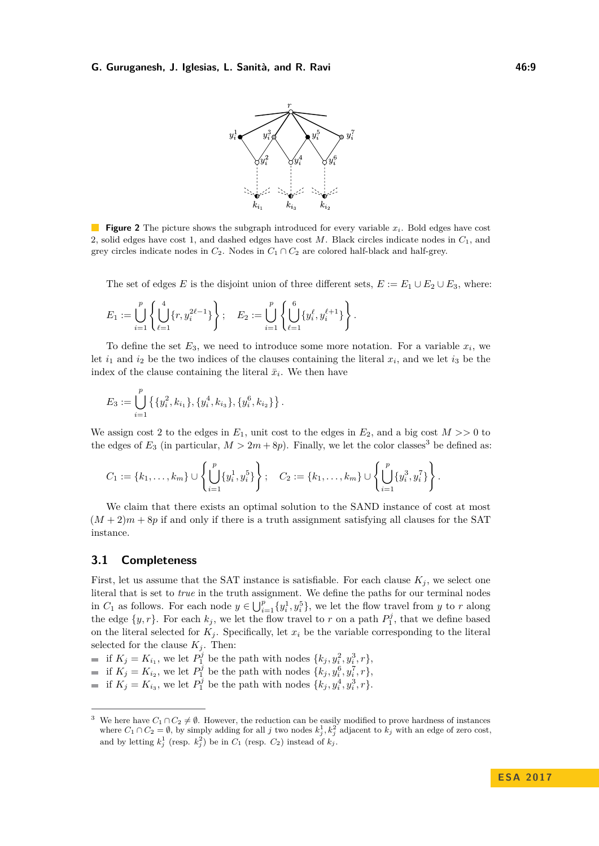#### <span id="page-8-0"></span>**G. Guruganesh, J. Iglesias, L. Sanità, and R. Ravi 46:9**



**Figure 2** The picture shows the subgraph introduced for every variable  $x_i$ . Bold edges have cost 2, solid edges have cost 1, and dashed edges have cost *M*. Black circles indicate nodes in *C*1, and grey circles indicate nodes in  $C_2$ . Nodes in  $C_1 \cap C_2$  are colored half-black and half-grey.

The set of edges *E* is the disjoint union of three different sets,  $E := E_1 \cup E_2 \cup E_3$ , where:

$$
E_1 := \bigcup_{i=1}^p \left\{ \bigcup_{\ell=1}^4 \{r, y_i^{2\ell-1}\} \right\}; \quad E_2 := \bigcup_{i=1}^p \left\{ \bigcup_{\ell=1}^6 \{y_i^{\ell}, y_i^{\ell+1}\} \right\}.
$$

To define the set  $E_3$ , we need to introduce some more notation. For a variable  $x_i$ , we let  $i_1$  and  $i_2$  be the two indices of the clauses containing the literal  $x_i$ , and we let  $i_3$  be the index of the clause containing the literal  $\bar{x}_i$ . We then have

$$
E_3 := \bigcup_{i=1}^p \left\{ \{y_i^2, k_{i_1}\}, \{y_i^4, k_{i_3}\}, \{y_i^6, k_{i_2}\} \right\}.
$$

We assign cost 2 to the edges in  $E_1$ , unit cost to the edges in  $E_2$ , and a big cost  $M >> 0$  to the edges of  $E_3$  $E_3$  (in particular,  $M > 2m + 8p$ ). Finally, we let the color classes<sup>3</sup> be defined as:

$$
C_1 := \{k_1, \ldots, k_m\} \cup \left\{ \bigcup_{i=1}^p \{y_i^1, y_i^5\} \right\}; \quad C_2 := \{k_1, \ldots, k_m\} \cup \left\{ \bigcup_{i=1}^p \{y_i^3, y_i^7\} \right\}.
$$

We claim that there exists an optimal solution to the SAND instance of cost at most  $(M+2)m+8p$  if and only if there is a truth assignment satisfying all clauses for the SAT instance.

## **3.1 Completeness**

First, let us assume that the SAT instance is satisfiable. For each clause  $K_j$ , we select one literal that is set to *true* in the truth assignment. We define the paths for our terminal nodes in  $C_1$  as follows. For each node  $y \in \bigcup_{i=1}^p \{y_i^1, y_i^5\}$ , we let the flow travel from *y* to *r* along the edge  $\{y, r\}$ . For each  $k_j$ , we let the flow travel to r on a path  $P_1^j$ , that we define based on the literal selected for  $K_j$ . Specifically, let  $x_i$  be the variable corresponding to the literal selected for the clause  $K_j$ . Then:

if  $K_j = K_{i_1}$ , we let  $P_1^j$  be the path with nodes  $\{k_j, y_i^2, y_i^3, r\}$ ,

- if  $K_j = K_{i_2}$ , we let  $P_1^j$  be the path with nodes  $\{k_j, y_i^6, y_i^7, r\}$ ,
- if  $K_j = K_{i_3}$ , we let  $P_1^j$  be the path with nodes  $\{k_j, y_i^4, y_i^3, r\}.$

<span id="page-8-1"></span><sup>&</sup>lt;sup>3</sup> We here have  $C_1 \cap C_2 \neq \emptyset$ . However, the reduction can be easily modified to prove hardness of instances where  $C_1 \cap C_2 = \emptyset$ , by simply adding for all *j* two nodes  $k_j^1, k_j^2$  adjacent to  $k_j$  with an edge of zero cost, and by letting  $k_j^1$  (resp.  $k_j^2$ ) be in  $C_1$  (resp.  $C_2$ ) instead of  $k_j$ .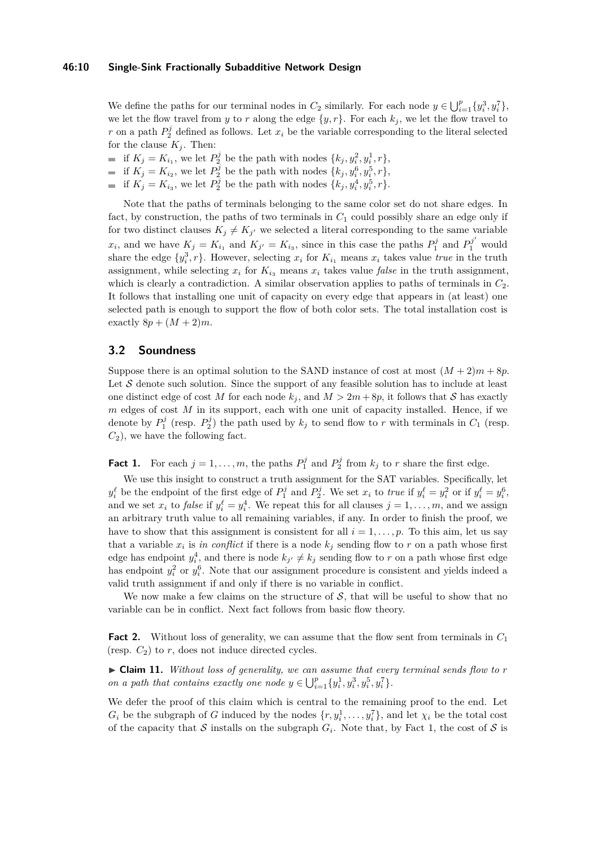We define the paths for our terminal nodes in  $C_2$  similarly. For each node  $y \in \bigcup_{i=1}^p \{y_i^3, y_i^7\}$ , we let the flow travel from *y* to *r* along the edge  $\{y, r\}$ . For each  $k_j$ , we let the flow travel to *r* on a path  $P_2^j$  defined as follows. Let  $x_i$  be the variable corresponding to the literal selected for the clause  $K_j$ . Then:

- if  $K_j = K_{i_1}$ , we let  $P_2^j$  be the path with nodes  $\{k_j, y_i^2, y_i^1, r\}$ ,
- if  $K_j = K_{i_2}$ , we let  $P_2^j$  be the path with nodes  $\{k_j, y_i^6, y_i^5, r\}$ ,
- if  $K_j = K_{i_3}$ , we let  $P_2^j$  be the path with nodes  $\{k_j, y_i^4, y_i^5, r\}$ .

Note that the paths of terminals belonging to the same color set do not share edges. In fact, by construction, the paths of two terminals in  $C_1$  could possibly share an edge only if for two distinct clauses  $K_j \neq K_{j'}$  we selected a literal corresponding to the same variable  $x_i$ , and we have  $K_j = K_{i_1}$  and  $K_{j'} = K_{i_3}$ , since in this case the paths  $P_1^j$  and  $P_1^{j'}$  would share the edge  $\{y_i^3, r\}$ . However, selecting  $x_i$  for  $K_{i_1}$  means  $x_i$  takes value *true* in the truth assignment, while selecting  $x_i$  for  $K_{i_3}$  means  $x_i$  takes value *false* in the truth assignment, which is clearly a contradiction. A similar observation applies to paths of terminals in  $C_2$ . It follows that installing one unit of capacity on every edge that appears in (at least) one selected path is enough to support the flow of both color sets. The total installation cost is exactly  $8p + (M + 2)m$ .

## **3.2 Soundness**

Suppose there is an optimal solution to the SAND instance of cost at most  $(M + 2)m + 8p$ . Let  $S$  denote such solution. Since the support of any feasible solution has to include at least one distinct edge of cost M for each node  $k_j$ , and  $M > 2m + 8p$ , it follows that S has exactly *m* edges of cost *M* in its support, each with one unit of capacity installed. Hence, if we denote by  $P_1^j$  (resp.  $P_2^j$ ) the path used by  $k_j$  to send flow to *r* with terminals in  $C_1$  (resp.  $C_2$ , we have the following fact.

**Fact 1.** For each  $j = 1, ..., m$ , the paths  $P_1^j$  and  $P_2^j$  from  $k_j$  to *r* share the first edge.

We use this insight to construct a truth assignment for the SAT variables. Specifically, let  $y_i^{\ell}$  be the endpoint of the first edge of  $P_1^j$  and  $P_2^j$ . We set  $x_i$  to *true* if  $y_i^{\ell} = y_i^2$  or if  $y_i^{\ell} = y_i^6$ , and we set  $x_i$  to *false* if  $y_i^{\ell} = y_i^4$ . We repeat this for all clauses  $j = 1, \ldots, m$ , and we assign an arbitrary truth value to all remaining variables, if any. In order to finish the proof, we have to show that this assignment is consistent for all  $i = 1, \ldots, p$ . To this aim, let us say that a variable  $x_i$  is *in conflict* if there is a node  $k_j$  sending flow to  $r$  on a path whose first edge has endpoint  $y_i^4$ , and there is node  $k_{j'} \neq k_j$  sending flow to *r* on a path whose first edge has endpoint  $y_i^2$  or  $y_i^6$ . Note that our assignment procedure is consistent and yields indeed a valid truth assignment if and only if there is no variable in conflict.

We now make a few claims on the structure of  $S$ , that will be useful to show that no variable can be in conflict. Next fact follows from basic flow theory.

**Fact 2.** Without loss of generality, we can assume that the flow sent from terminals in *C*<sup>1</sup> (resp.  $C_2$ ) to  $r$ , does not induce directed cycles.

► Claim 11. *Without loss of generality, we can assume that every terminal sends flow to r on a path that contains exactly one node*  $y \in \bigcup_{i=1}^{p} \{y_i^1, y_i^3, y_i^5, y_i^7\}$ .

We defer the proof of this claim which is central to the remaining proof to the end. Let  $G_i$  be the subgraph of *G* induced by the nodes  $\{r, y_i^1, \ldots, y_i^7\}$ , and let  $\chi_i$  be the total cost of the capacity that  $S$  installs on the subgraph  $G_i$ . Note that, by Fact 1, the cost of  $S$  is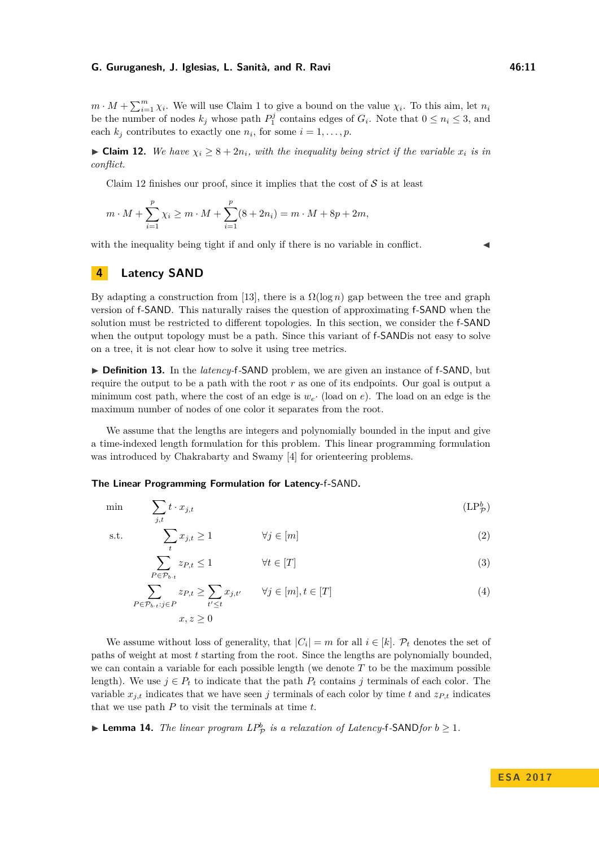#### **G. Guruganesh, J. Iglesias, L. Sanità, and R. Ravi 46:11** 16:11

 $m \cdot M + \sum_{i=1}^{m} \chi_i$ . We will use Claim 1 to give a bound on the value  $\chi_i$ . To this aim, let  $n_i$ be the number of nodes  $k_j$  whose path  $P_1^j$  contains edges of  $G_i$ . Note that  $0 \leq n_i \leq 3$ , and each  $k_j$  contributes to exactly one  $n_i$ , for some  $i = 1, \ldots, p$ .

<span id="page-10-0"></span>► **Claim 12.** *We have*  $\chi$ <sup>*i*</sup> ≥ 8 + 2*n*<sup>*i*</sup>, with the inequality being strict if the variable  $x$ <sup>*i*</sup> is in *conflict.*

Claim [12](#page-10-0) finishes our proof, since it implies that the cost of  $S$  is at least

$$
m \cdot M + \sum_{i=1}^{p} \chi_i \ge m \cdot M + \sum_{i=1}^{p} (8 + 2n_i) = m \cdot M + 8p + 2m,
$$

with the inequality being tight if and only if there is no variable in conflict.

<span id="page-10-3"></span><span id="page-10-2"></span><span id="page-10-1"></span>

## **4 Latency SAND**

By adapting a construction from [\[13\]](#page-12-13), there is a  $\Omega(\log n)$  gap between the tree and graph version of f-SAND. This naturally raises the question of approximating f-SAND when the solution must be restricted to different topologies. In this section, we consider the f-SAND when the output topology must be a path. Since this variant of f-SANDis not easy to solve on a tree, it is not clear how to solve it using tree metrics.

▶ **Definition 13.** In the *latency*-f-SAND problem, we are given an instance of f-SAND, but require the output to be a path with the root *r* as one of its endpoints. Our goal is output a minimum cost path, where the cost of an edge is  $w_e$ . (load on *e*). The load on an edge is the maximum number of nodes of one color it separates from the root.

We assume that the lengths are integers and polynomially bounded in the input and give a time-indexed length formulation for this problem. This linear programming formulation was introduced by Chakrabarty and Swamy [\[4\]](#page-12-11) for orienteering problems.

#### **The Linear Programming Formulation for Latency-**f**-**SAND**.**

min  $\sum$ *j,t*  $t \cdot x_{j,t}$  (LP<sup>b</sup><sub>1</sub>)  $(LP^b_{\mathcal{D}})$ 

s.t.

$$
\sum_{t} x_{j,t} \ge 1 \qquad \qquad \forall j \in [m] \tag{2}
$$

<span id="page-10-4"></span>
$$
\sum_{P \in \mathcal{P}_{b \cdot t}} z_{P,t} \le 1 \qquad \forall t \in [T]
$$
\n(3)

$$
\sum_{P \in \mathcal{P}_{b \cdot t} : j \in P} z_{P,t} \ge \sum_{t' \le t} x_{j,t'} \qquad \forall j \in [m], t \in [T]
$$
\n
$$
x, z \ge 0
$$
\n
$$
(4)
$$

We assume without loss of generality, that  $|C_i| = m$  for all  $i \in [k]$ .  $\mathcal{P}_t$  denotes the set of paths of weight at most *t* starting from the root. Since the lengths are polynomially bounded, we can contain a variable for each possible length (we denote *T* to be the maximum possible length). We use  $j \in P_t$  to indicate that the path  $P_t$  contains  $j$  terminals of each color. The variable  $x_{j,t}$  indicates that we have seen *j* terminals of each color by time *t* and  $z_{P,t}$  indicates that we use path *P* to visit the terminals at time *t*.

▶ **Lemma 14.** *The linear program*  $LP^b_{\mathcal{P}}$  *is a relaxation of Latency-f-SANDfor*  $b \ge 1$ *.*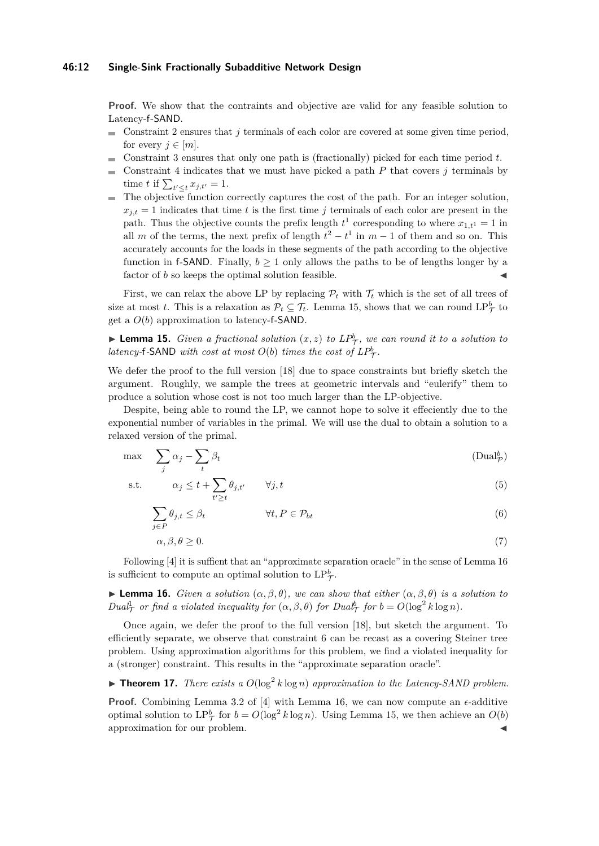#### **46:12 Single-Sink Fractionally Subadditive Network Design**

**Proof.** We show that the contraints and objective are valid for any feasible solution to Latency-f-SAND.

- Constraint [2](#page-10-2) ensures that *j* terminals of each color are covered at some given time period, ÷. for every  $j \in [m]$ .
- Constraint [3](#page-10-3) ensures that only one path is (fractionally) picked for each time period *t*.  $\sim$
- Constraint [4](#page-10-4) indicates that we must have picked a path *P* that covers *j* terminals by time *t* if  $\sum_{t' \leq t} x_{j,t'} = 1$ .
- The objective function correctly captures the cost of the path. For an integer solution,  $x_{i,t} = 1$  indicates that time *t* is the first time *j* terminals of each color are present in the path. Thus the objective counts the prefix length  $t^1$  corresponding to where  $x_{1,t^1} = 1$  in all *m* of the terms, the next prefix of length  $t^2 - t^1$  in  $m - 1$  of them and so on. This accurately accounts for the loads in these segments of the path according to the objective function in f-SAND. Finally,  $b > 1$  only allows the paths to be of lengths longer by a factor of  $b$  so keeps the optimal solution feasible.

First, we can relax the above LP by replacing  $\mathcal{P}_t$  with  $\mathcal{T}_t$  which is the set of all trees of size at most *t*. This is a relaxation as  $\mathcal{P}_t \subseteq \mathcal{T}_t$ . Lemma [15,](#page-11-0) shows that we can round  $\text{LP}_\mathcal{T}^b$  to get a *O*(*b*) approximation to latency-f-SAND.

<span id="page-11-0"></span>**Lemma 15.** *Given a fractional solution*  $(x, z)$  *to*  $LP^b_\mathcal{T}$ *, we can round it to a solution to latency*-f-SAND *with cost at most*  $O(b)$  *times the cost of*  $LP^b_\mathcal{T}$ *.* 

We defer the proof to the full version [\[18\]](#page-12-12) due to space constraints but briefly sketch the argument. Roughly, we sample the trees at geometric intervals and "eulerify" them to produce a solution whose cost is not too much larger than the LP-objective.

Despite, being able to round the LP, we cannot hope to solve it effeciently due to the exponential number of variables in the primal. We will use the dual to obtain a solution to a relaxed version of the primal.

$$
\max \sum_{j} \alpha_j - \sum_{t} \beta_t \tag{Dualp}^b
$$

s.t. 
$$
\alpha_j \leq t + \sum_{t' \geq t} \theta_{j,t'} \qquad \forall j, t
$$
 (5)

$$
\sum_{j \in P} \theta_{j,t} \le \beta_t \qquad \qquad \forall t, P \in \mathcal{P}_{bt} \tag{6}
$$

<span id="page-11-2"></span>
$$
\alpha, \beta, \theta \ge 0. \tag{7}
$$

Following [\[4\]](#page-12-11) it is suffient that an "approximate separation oracle" in the sense of Lemma [16](#page-11-1) is sufficient to compute an optimal solution to  $LP^b_\mathcal{T}$ .

<span id="page-11-1"></span>**Lemma 16.** *Given a solution*  $(\alpha, \beta, \theta)$ *, we can show that either*  $(\alpha, \beta, \theta)$  *is a solution to Dual*<sup>*t*</sup><sub>*T*</sub> *or find a* violated inequality for  $(\alpha, \beta, \theta)$  for  $Dua^b$ <sub>*T*</sub> for  $b = O(\log^2 k \log n)$ *.* 

Once again, we defer the proof to the full version [\[18\]](#page-12-12), but sketch the argument. To efficiently separate, we observe that constraint [6](#page-11-2) can be recast as a covering Steiner tree problem. Using approximation algorithms for this problem, we find a violated inequality for a (stronger) constraint. This results in the "approximate separation oracle".

**Theorem 17.** *There exists a*  $O(\log^2 k \log n)$  *approximation to the Latency-SAND problem.* 

**Proof.** Combining Lemma 3.2 of [\[4\]](#page-12-11) with Lemma [16,](#page-11-1) we can now compute an  $\epsilon$ -additive optimal solution to  $LP^b_\mathcal{T}$  for  $b = O(\log^2 k \log n)$ . Using Lemma [15,](#page-11-0) we then achieve an  $O(b)$ approximation for our problem.